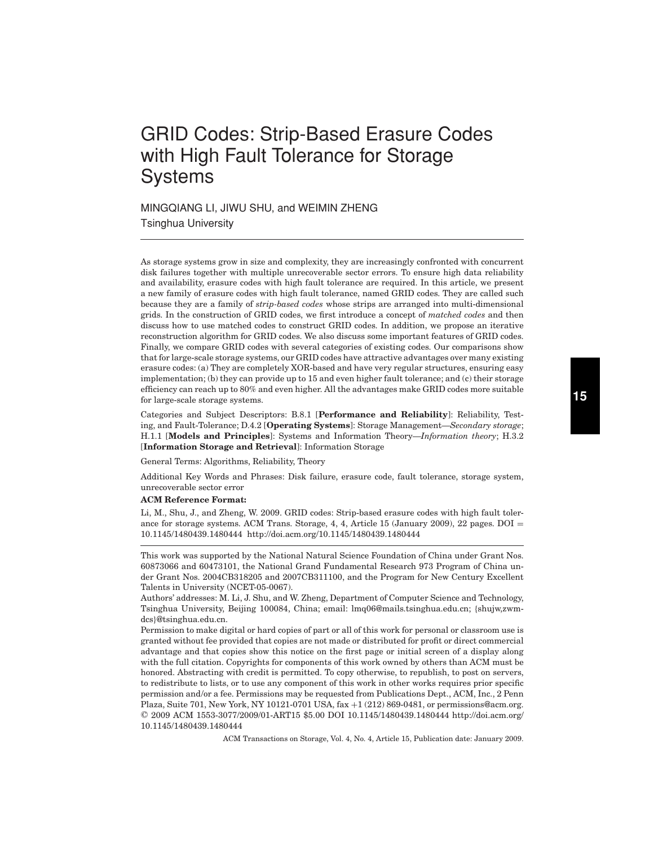# GRID Codes: Strip-Based Erasure Codes with High Fault Tolerance for Storage **Systems**

MINGQIANG LI, JIWU SHU, and WEIMIN ZHENG Tsinghua University

As storage systems grow in size and complexity, they are increasingly confronted with concurrent disk failures together with multiple unrecoverable sector errors. To ensure high data reliability and availability, erasure codes with high fault tolerance are required. In this article, we present a new family of erasure codes with high fault tolerance, named GRID codes. They are called such because they are a family of *strip-based codes* whose strips are arranged into multi-dimensional grids. In the construction of GRID codes, we first introduce a concept of *matched codes* and then discuss how to use matched codes to construct GRID codes. In addition, we propose an iterative reconstruction algorithm for GRID codes. We also discuss some important features of GRID codes. Finally, we compare GRID codes with several categories of existing codes. Our comparisons show that for large-scale storage systems, our GRID codes have attractive advantages over many existing erasure codes: (a) They are completely XOR-based and have very regular structures, ensuring easy implementation; (b) they can provide up to 15 and even higher fault tolerance; and (c) their storage efficiency can reach up to 80% and even higher. All the advantages make GRID codes more suitable for large-scale storage systems.

Categories and Subject Descriptors: B.8.1 [**Performance and Reliability**]: Reliability, Testing, and Fault-Tolerance; D.4.2 [**Operating Systems**]: Storage Management—*Secondary storage*; H.1.1 [**Models and Principles**]: Systems and Information Theory—*Information theory*; H.3.2 [**Information Storage and Retrieval**]: Information Storage

General Terms: Algorithms, Reliability, Theory

Additional Key Words and Phrases: Disk failure, erasure code, fault tolerance, storage system, unrecoverable sector error

#### **ACM Reference Format:**

Li, M., Shu, J., and Zheng, W. 2009. GRID codes: Strip-based erasure codes with high fault tolerance for storage systems. ACM Trans. Storage,  $4, 4$ , Article 15 (January 2009), 22 pages. DOI = 10.1145/1480439.1480444 http://doi.acm.org/10.1145/1480439.1480444

This work was supported by the National Natural Science Foundation of China under Grant Nos. 60873066 and 60473101, the National Grand Fundamental Research 973 Program of China under Grant Nos. 2004CB318205 and 2007CB311100, and the Program for New Century Excellent Talents in University (NCET-05-0067).

Authors' addresses: M. Li, J. Shu, and W. Zheng, Department of Computer Science and Technology, Tsinghua University, Beijing 100084, China; email: lmq06@mails.tsinghua.edu.cn; {shujw,zwmdcs}@tsinghua.edu.cn.

Permission to make digital or hard copies of part or all of this work for personal or classroom use is granted without fee provided that copies are not made or distributed for profit or direct commercial advantage and that copies show this notice on the first page or initial screen of a display along with the full citation. Copyrights for components of this work owned by others than ACM must be honored. Abstracting with credit is permitted. To copy otherwise, to republish, to post on servers, to redistribute to lists, or to use any component of this work in other works requires prior specific permission and/or a fee. Permissions may be requested from Publications Dept., ACM, Inc., 2 Penn Plaza, Suite 701, New York, NY 10121-0701 USA, fax +1 (212) 869-0481, or permissions@acm.org. © 2009 ACM 1553-3077/2009/01-ART15 \$5.00 DOI 10.1145/1480439.1480444 http://doi.acm.org/ 10.1145/1480439.1480444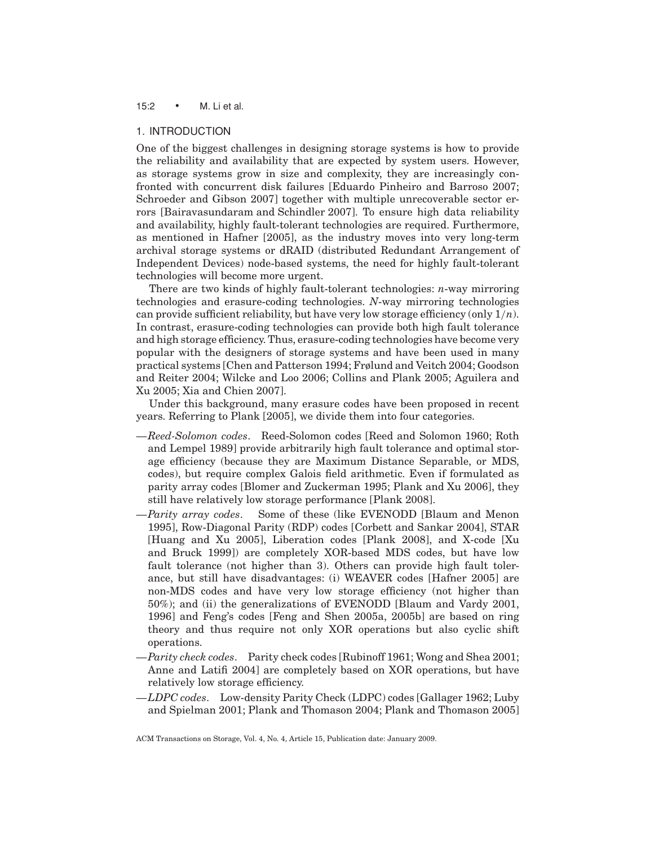# 15:2 • M. Li et al.

# 1. INTRODUCTION

One of the biggest challenges in designing storage systems is how to provide the reliability and availability that are expected by system users. However, as storage systems grow in size and complexity, they are increasingly confronted with concurrent disk failures [Eduardo Pinheiro and Barroso 2007; Schroeder and Gibson 2007] together with multiple unrecoverable sector errors [Bairavasundaram and Schindler 2007]. To ensure high data reliability and availability, highly fault-tolerant technologies are required. Furthermore, as mentioned in Hafner [2005], as the industry moves into very long-term archival storage systems or dRAID (distributed Redundant Arrangement of Independent Devices) node-based systems, the need for highly fault-tolerant technologies will become more urgent.

There are two kinds of highly fault-tolerant technologies: *n*-way mirroring technologies and erasure-coding technologies. *N*-way mirroring technologies can provide sufficient reliability, but have very low storage efficiency (only 1/*n*). In contrast, erasure-coding technologies can provide both high fault tolerance and high storage efficiency. Thus, erasure-coding technologies have become very popular with the designers of storage systems and have been used in many practical systems [Chen and Patterson 1994; Frølund and Veitch 2004; Goodson and Reiter 2004; Wilcke and Loo 2006; Collins and Plank 2005; Aguilera and Xu 2005; Xia and Chien 2007].

Under this background, many erasure codes have been proposed in recent years. Referring to Plank [2005], we divide them into four categories.

- —*Reed-Solomon codes*. Reed-Solomon codes [Reed and Solomon 1960; Roth and Lempel 1989] provide arbitrarily high fault tolerance and optimal storage efficiency (because they are Maximum Distance Separable, or MDS, codes), but require complex Galois field arithmetic. Even if formulated as parity array codes [Blomer and Zuckerman 1995; Plank and Xu 2006], they still have relatively low storage performance [Plank 2008].
- —*Parity array codes*. Some of these (like EVENODD [Blaum and Menon 1995], Row-Diagonal Parity (RDP) codes [Corbett and Sankar 2004], STAR [Huang and Xu 2005], Liberation codes [Plank 2008], and X-code [Xu and Bruck 1999]) are completely XOR-based MDS codes, but have low fault tolerance (not higher than 3). Others can provide high fault tolerance, but still have disadvantages: (i) WEAVER codes [Hafner 2005] are non-MDS codes and have very low storage efficiency (not higher than 50%); and (ii) the generalizations of EVENODD [Blaum and Vardy 2001, 1996] and Feng's codes [Feng and Shen 2005a, 2005b] are based on ring theory and thus require not only XOR operations but also cyclic shift operations.
- —*Parity check codes*. Parity check codes [Rubinoff 1961; Wong and Shea 2001; Anne and Latifi 2004] are completely based on XOR operations, but have relatively low storage efficiency.
- —*LDPC codes*. Low-density Parity Check (LDPC) codes [Gallager 1962; Luby and Spielman 2001; Plank and Thomason 2004; Plank and Thomason 2005]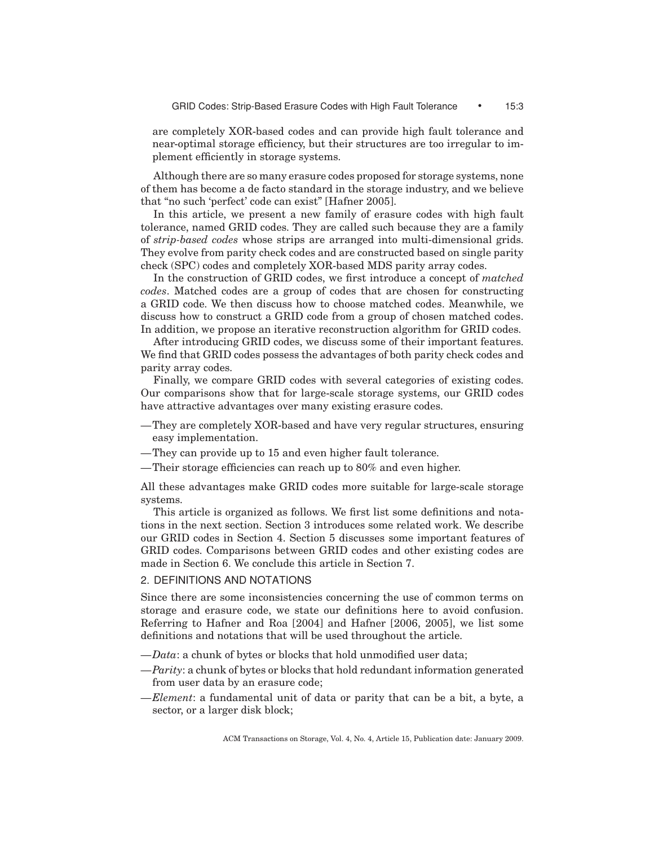are completely XOR-based codes and can provide high fault tolerance and near-optimal storage efficiency, but their structures are too irregular to implement efficiently in storage systems.

Although there are so many erasure codes proposed for storage systems, none of them has become a de facto standard in the storage industry, and we believe that "no such 'perfect' code can exist" [Hafner 2005].

In this article, we present a new family of erasure codes with high fault tolerance, named GRID codes. They are called such because they are a family of *strip-based codes* whose strips are arranged into multi-dimensional grids. They evolve from parity check codes and are constructed based on single parity check (SPC) codes and completely XOR-based MDS parity array codes.

In the construction of GRID codes, we first introduce a concept of *matched codes*. Matched codes are a group of codes that are chosen for constructing a GRID code. We then discuss how to choose matched codes. Meanwhile, we discuss how to construct a GRID code from a group of chosen matched codes. In addition, we propose an iterative reconstruction algorithm for GRID codes.

After introducing GRID codes, we discuss some of their important features. We find that GRID codes possess the advantages of both parity check codes and parity array codes.

Finally, we compare GRID codes with several categories of existing codes. Our comparisons show that for large-scale storage systems, our GRID codes have attractive advantages over many existing erasure codes.

- —They are completely XOR-based and have very regular structures, ensuring easy implementation.
- —They can provide up to 15 and even higher fault tolerance.
- —Their storage efficiencies can reach up to 80% and even higher.

All these advantages make GRID codes more suitable for large-scale storage systems.

This article is organized as follows. We first list some definitions and notations in the next section. Section 3 introduces some related work. We describe our GRID codes in Section 4. Section 5 discusses some important features of GRID codes. Comparisons between GRID codes and other existing codes are made in Section 6. We conclude this article in Section 7.

# 2. DEFINITIONS AND NOTATIONS

Since there are some inconsistencies concerning the use of common terms on storage and erasure code, we state our definitions here to avoid confusion. Referring to Hafner and Roa [2004] and Hafner [2006, 2005], we list some definitions and notations that will be used throughout the article.

- —*Data*: a chunk of bytes or blocks that hold unmodified user data;
- —*Parity*: a chunk of bytes or blocks that hold redundant information generated from user data by an erasure code;
- —*Element*: a fundamental unit of data or parity that can be a bit, a byte, a sector, or a larger disk block;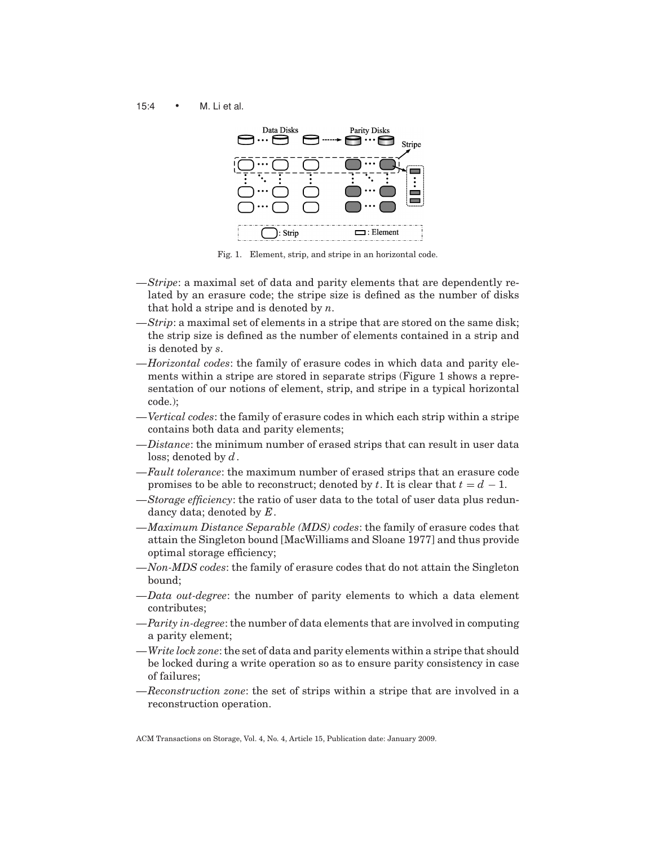15:4 • M. Li et al.



Fig. 1. Element, strip, and stripe in an horizontal code.

- —*Stripe*: a maximal set of data and parity elements that are dependently related by an erasure code; the stripe size is defined as the number of disks that hold a stripe and is denoted by *n*.
- —*Strip*: a maximal set of elements in a stripe that are stored on the same disk; the strip size is defined as the number of elements contained in a strip and is denoted by *s*.
- —*Horizontal codes*: the family of erasure codes in which data and parity elements within a stripe are stored in separate strips (Figure 1 shows a representation of our notions of element, strip, and stripe in a typical horizontal code.);
- —*Vertical codes*: the family of erasure codes in which each strip within a stripe contains both data and parity elements;
- —*Distance*: the minimum number of erased strips that can result in user data loss; denoted by *d*.
- —*Fault tolerance*: the maximum number of erased strips that an erasure code promises to be able to reconstruct; denoted by *t*. It is clear that  $t = d - 1$ .
- —*Storage efficiency*: the ratio of user data to the total of user data plus redundancy data; denoted by *E*.
- —*Maximum Distance Separable (MDS) codes*: the family of erasure codes that attain the Singleton bound [MacWilliams and Sloane 1977] and thus provide optimal storage efficiency;
- —*Non-MDS codes*: the family of erasure codes that do not attain the Singleton bound;
- —*Data out-degree*: the number of parity elements to which a data element contributes;
- —*Parity in-degree*: the number of data elements that are involved in computing a parity element;
- —*Write lock zone*: the set of data and parity elements within a stripe that should be locked during a write operation so as to ensure parity consistency in case of failures;
- —*Reconstruction zone*: the set of strips within a stripe that are involved in a reconstruction operation.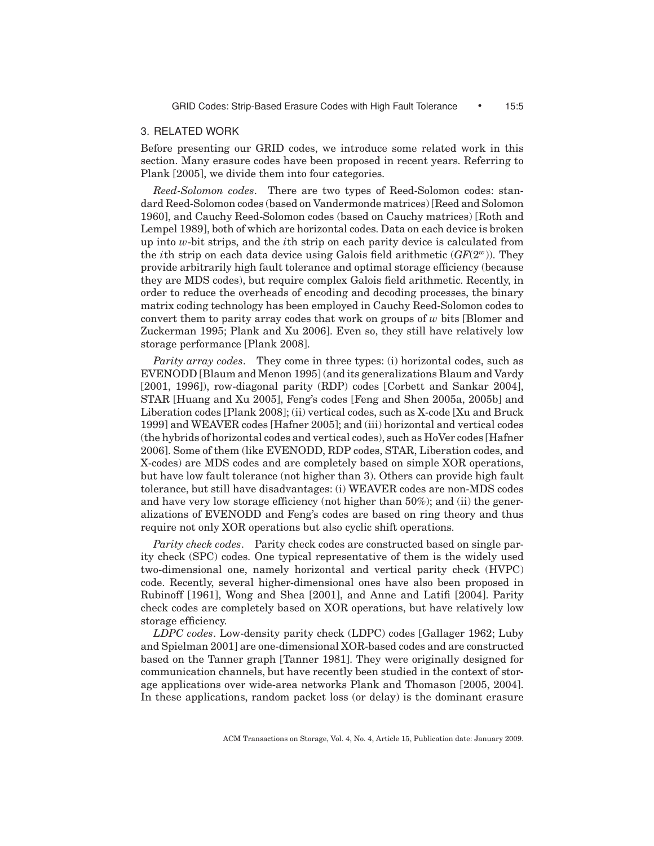# 3. RELATED WORK

Before presenting our GRID codes, we introduce some related work in this section. Many erasure codes have been proposed in recent years. Referring to Plank [2005], we divide them into four categories.

*Reed-Solomon codes*. There are two types of Reed-Solomon codes: standard Reed-Solomon codes (based on Vandermonde matrices) [Reed and Solomon 1960], and Cauchy Reed-Solomon codes (based on Cauchy matrices) [Roth and Lempel 1989], both of which are horizontal codes. Data on each device is broken up into *w*-bit strips, and the *i*th strip on each parity device is calculated from the *i*th strip on each data device using Galois field arithmetic  $(FP(2^w))$ . They provide arbitrarily high fault tolerance and optimal storage efficiency (because they are MDS codes), but require complex Galois field arithmetic. Recently, in order to reduce the overheads of encoding and decoding processes, the binary matrix coding technology has been employed in Cauchy Reed-Solomon codes to convert them to parity array codes that work on groups of *w* bits [Blomer and Zuckerman 1995; Plank and Xu 2006]. Even so, they still have relatively low storage performance [Plank 2008].

*Parity array codes*. They come in three types: (i) horizontal codes, such as EVENODD [Blaum and Menon 1995] (and its generalizations Blaum and Vardy [2001, 1996]), row-diagonal parity (RDP) codes [Corbett and Sankar 2004], STAR [Huang and Xu 2005], Feng's codes [Feng and Shen 2005a, 2005b] and Liberation codes [Plank 2008]; (ii) vertical codes, such as X-code [Xu and Bruck 1999] and WEAVER codes [Hafner 2005]; and (iii) horizontal and vertical codes (the hybrids of horizontal codes and vertical codes), such as HoVer codes [Hafner 2006]. Some of them (like EVENODD, RDP codes, STAR, Liberation codes, and X-codes) are MDS codes and are completely based on simple XOR operations, but have low fault tolerance (not higher than 3). Others can provide high fault tolerance, but still have disadvantages: (i) WEAVER codes are non-MDS codes and have very low storage efficiency (not higher than 50%); and (ii) the generalizations of EVENODD and Feng's codes are based on ring theory and thus require not only XOR operations but also cyclic shift operations.

*Parity check codes*. Parity check codes are constructed based on single parity check (SPC) codes. One typical representative of them is the widely used two-dimensional one, namely horizontal and vertical parity check (HVPC) code. Recently, several higher-dimensional ones have also been proposed in Rubinoff [1961], Wong and Shea [2001], and Anne and Latifi [2004]. Parity check codes are completely based on XOR operations, but have relatively low storage efficiency.

*LDPC codes*. Low-density parity check (LDPC) codes [Gallager 1962; Luby and Spielman 2001] are one-dimensional XOR-based codes and are constructed based on the Tanner graph [Tanner 1981]. They were originally designed for communication channels, but have recently been studied in the context of storage applications over wide-area networks Plank and Thomason [2005, 2004]. In these applications, random packet loss (or delay) is the dominant erasure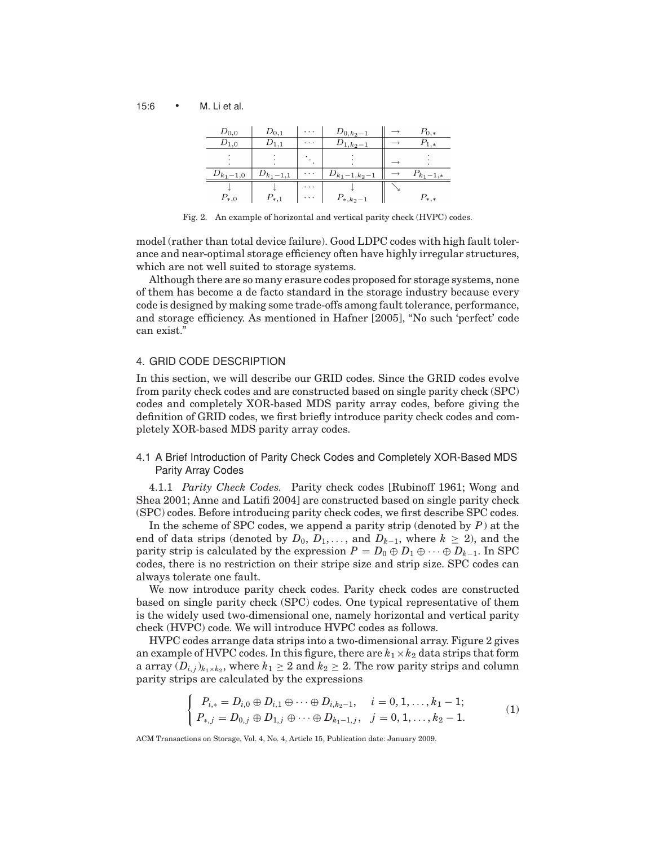15:6 • M. Li et al.

| $D_{0,0}$     | $D_{0,1}$     | .        | $D_{0,k_2-1}$     | $P_{0,*}$     |
|---------------|---------------|----------|-------------------|---------------|
|               |               | .        | $1.k_2-1$         | *             |
|               |               |          |                   |               |
| $D_{k_1-1,0}$ | $D_{k_1-1,1}$ | .        | $D_{k_1-1,k_2-1}$ | $P_{k_1-1,*}$ |
|               |               | $\cdots$ |                   |               |
| $P_{*,0}$     | $P_{*,1}$     | .        | $P_{*,k_2-1}$     | $P_{*,*}$     |

Fig. 2. An example of horizontal and vertical parity check (HVPC) codes.

model (rather than total device failure). Good LDPC codes with high fault tolerance and near-optimal storage efficiency often have highly irregular structures, which are not well suited to storage systems.

Although there are so many erasure codes proposed for storage systems, none of them has become a de facto standard in the storage industry because every code is designed by making some trade-offs among fault tolerance, performance, and storage efficiency. As mentioned in Hafner [2005], "No such 'perfect' code can exist."

# 4. GRID CODE DESCRIPTION

In this section, we will describe our GRID codes. Since the GRID codes evolve from parity check codes and are constructed based on single parity check (SPC) codes and completely XOR-based MDS parity array codes, before giving the definition of GRID codes, we first briefly introduce parity check codes and completely XOR-based MDS parity array codes.

4.1 A Brief Introduction of Parity Check Codes and Completely XOR-Based MDS Parity Array Codes

4.1.1 *Parity Check Codes.* Parity check codes [Rubinoff 1961; Wong and Shea 2001; Anne and Latifi 2004] are constructed based on single parity check (SPC) codes. Before introducing parity check codes, we first describe SPC codes.

In the scheme of SPC codes, we append a parity strip (denoted by *P*) at the end of data strips (denoted by  $D_0$ ,  $D_1$ , ..., and  $D_{k-1}$ , where  $k \geq 2$ ), and the parity strip is calculated by the expression  $P = D_0 \oplus D_1 \oplus \cdots \oplus D_{k-1}$ . In SPC codes, there is no restriction on their stripe size and strip size. SPC codes can always tolerate one fault.

We now introduce parity check codes. Parity check codes are constructed based on single parity check (SPC) codes. One typical representative of them is the widely used two-dimensional one, namely horizontal and vertical parity check (HVPC) code. We will introduce HVPC codes as follows.

HVPC codes arrange data strips into a two-dimensional array. Figure 2 gives an example of HVPC codes. In this figure, there are  $k_1 \times k_2$  data strips that form a array  $(D_{i,j})_{k_1\times k_2}$ , where  $k_1 \geq 2$  and  $k_2 \geq 2$ . The row parity strips and column parity strips are calculated by the expressions

$$
\begin{cases}\nP_{i,*} = D_{i,0} \oplus D_{i,1} \oplus \cdots \oplus D_{i,k_2-1}, & i = 0, 1, \ldots, k_1 - 1; \\
P_{*,j} = D_{0,j} \oplus D_{1,j} \oplus \cdots \oplus D_{k_1-1,j}, & j = 0, 1, \ldots, k_2 - 1.\n\end{cases} \tag{1}
$$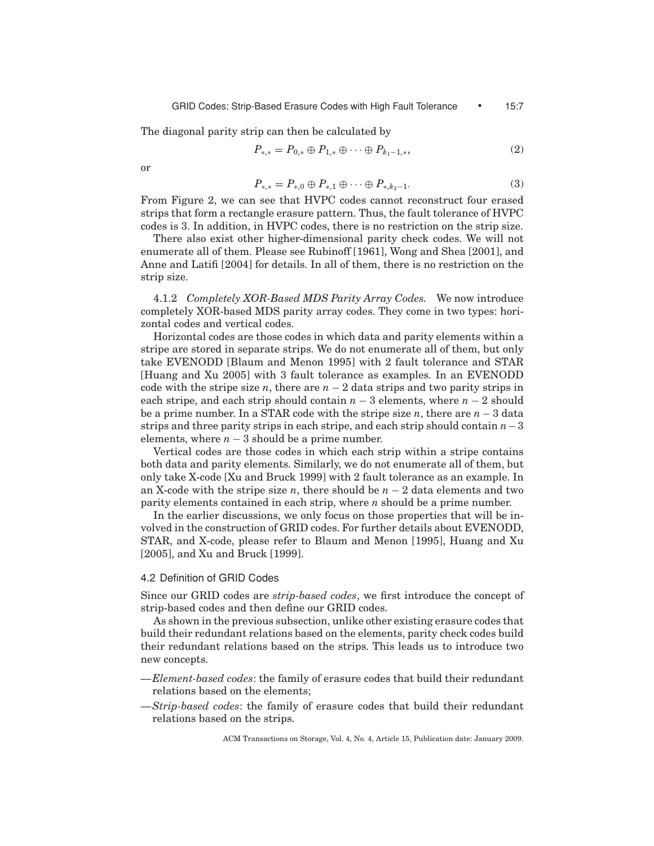The diagonal parity strip can then be calculated by

$$
P_{*,*} = P_{0,*} \oplus P_{1,*} \oplus \cdots \oplus P_{k_1-1,*},\tag{2}
$$

or

$$
P_{*,*} = P_{*,0} \oplus P_{*,1} \oplus \cdots \oplus P_{*,k_2-1}.
$$
 (3)

From Figure 2, we can see that HVPC codes cannot reconstruct four erased strips that form a rectangle erasure pattern. Thus, the fault tolerance of HVPC codes is 3. In addition, in HVPC codes, there is no restriction on the strip size.

There also exist other higher-dimensional parity check codes. We will not enumerate all of them. Please see Rubinoff [1961], Wong and Shea [2001], and Anne and Latifi [2004] for details. In all of them, there is no restriction on the strip size.

4.1.2 *Completely XOR-Based MDS Parity Array Codes.* We now introduce completely XOR-based MDS parity array codes. They come in two types: horizontal codes and vertical codes.

Horizontal codes are those codes in which data and parity elements within a stripe are stored in separate strips. We do not enumerate all of them, but only take EVENODD [Blaum and Menon 1995] with 2 fault tolerance and STAR [Huang and Xu 2005] with 3 fault tolerance as examples. In an EVENODD code with the stripe size *n*, there are  $n - 2$  data strips and two parity strips in each stripe, and each strip should contain *n* − 3 elements, where *n* − 2 should be a prime number. In a STAR code with the stripe size *n*, there are *n* − 3 data strips and three parity strips in each stripe, and each strip should contain *n*−3 elements, where  $n-3$  should be a prime number.

Vertical codes are those codes in which each strip within a stripe contains both data and parity elements. Similarly, we do not enumerate all of them, but only take X-code [Xu and Bruck 1999] with 2 fault tolerance as an example. In an X-code with the stripe size *n*, there should be  $n-2$  data elements and two parity elements contained in each strip, where *n* should be a prime number.

In the earlier discussions, we only focus on those properties that will be involved in the construction of GRID codes. For further details about EVENODD, STAR, and X-code, please refer to Blaum and Menon [1995], Huang and Xu [2005], and Xu and Bruck [1999].

## 4.2 Definition of GRID Codes

Since our GRID codes are *strip-based codes*, we first introduce the concept of strip-based codes and then define our GRID codes.

As shown in the previous subsection, unlike other existing erasure codes that build their redundant relations based on the elements, parity check codes build their redundant relations based on the strips. This leads us to introduce two new concepts.

- —*Element-based codes*: the family of erasure codes that build their redundant relations based on the elements;
- —*Strip-based codes*: the family of erasure codes that build their redundant relations based on the strips.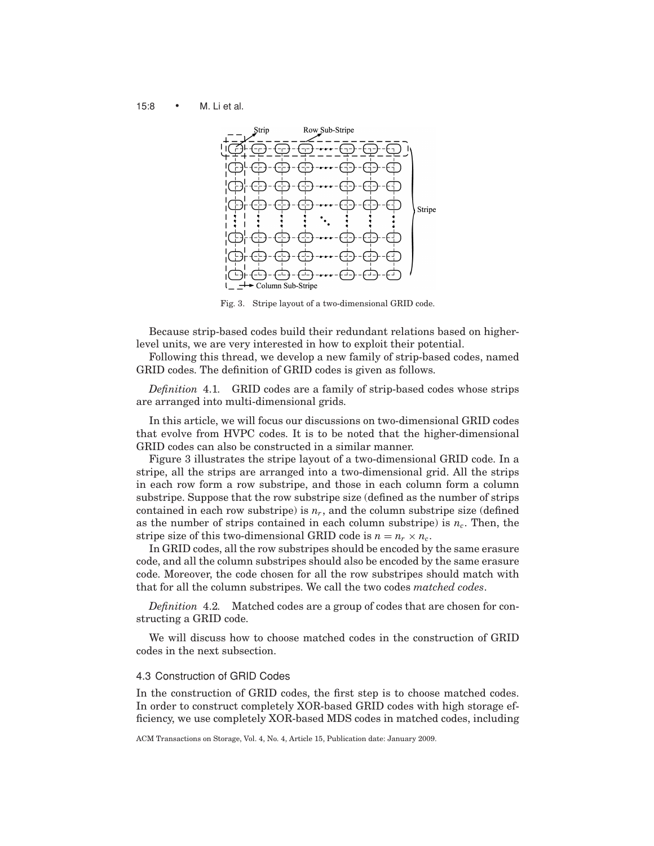15:8 • M. Li et al.



Fig. 3. Stripe layout of a two-dimensional GRID code.

Because strip-based codes build their redundant relations based on higherlevel units, we are very interested in how to exploit their potential.

Following this thread, we develop a new family of strip-based codes, named GRID codes. The definition of GRID codes is given as follows.

*Definition* 4.1*.* GRID codes are a family of strip-based codes whose strips are arranged into multi-dimensional grids.

In this article, we will focus our discussions on two-dimensional GRID codes that evolve from HVPC codes. It is to be noted that the higher-dimensional GRID codes can also be constructed in a similar manner.

Figure 3 illustrates the stripe layout of a two-dimensional GRID code. In a stripe, all the strips are arranged into a two-dimensional grid. All the strips in each row form a row substripe, and those in each column form a column substripe. Suppose that the row substripe size (defined as the number of strips contained in each row substripe) is  $n_r$ , and the column substripe size (defined as the number of strips contained in each column substripe) is  $n_c$ . Then, the stripe size of this two-dimensional GRID code is  $n = n_r \times n_c$ .

In GRID codes, all the row substripes should be encoded by the same erasure code, and all the column substripes should also be encoded by the same erasure code. Moreover, the code chosen for all the row substripes should match with that for all the column substripes. We call the two codes *matched codes*.

*Definition* 4.2*.* Matched codes are a group of codes that are chosen for constructing a GRID code.

We will discuss how to choose matched codes in the construction of GRID codes in the next subsection.

# 4.3 Construction of GRID Codes

In the construction of GRID codes, the first step is to choose matched codes. In order to construct completely XOR-based GRID codes with high storage efficiency, we use completely XOR-based MDS codes in matched codes, including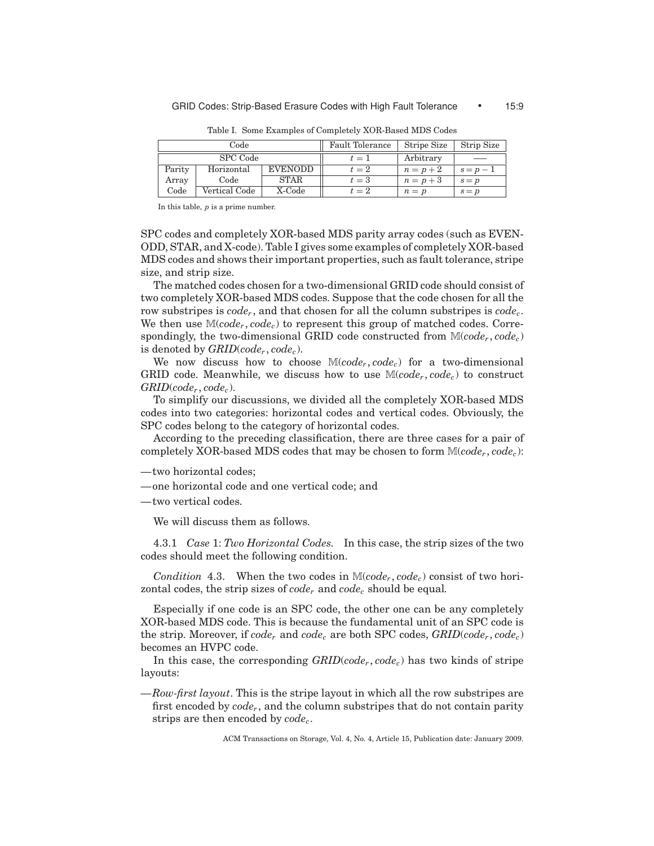| Code   |               |                | <b>Fault Tolerance</b> | Stripe Size | Strip Size |
|--------|---------------|----------------|------------------------|-------------|------------|
|        | SPC Code      |                | $t=1$                  | Arbitrary   | ___        |
| Parity | Horizontal    | <b>EVENODD</b> | $t=2$                  | $n=p+2$     | $s=p-1$    |
| Array  | Code          | STAR           | $t=3$                  | $n=p+3$     | $s = p$    |
| Code   | Vertical Code | X-Code         | $t=2$                  | $n = p$     | $s = p$    |

Table I. Some Examples of Completely XOR-Based MDS Codes

In this table, *p* is a prime number.

SPC codes and completely XOR-based MDS parity array codes (such as EVEN-ODD, STAR, and X-code). Table I gives some examples of completely XOR-based MDS codes and shows their important properties, such as fault tolerance, stripe size, and strip size.

The matched codes chosen for a two-dimensional GRID code should consist of two completely XOR-based MDS codes. Suppose that the code chosen for all the row substripes is  $code_r$ , and that chosen for all the column substripes is  $code_c$ . We then use M(*coder* , *codec*) to represent this group of matched codes. Correspondingly, the two-dimensional GRID code constructed from  $\mathbb{M}(code_r, code_c)$ is denoted by *GRID*(*coder* , *codec*).

We now discuss how to choose  $\mathbb{M}(code_r,code_c)$  for a two-dimensional GRID code. Meanwhile, we discuss how to use  $\mathbb{M}(code_r,code_c)$  to construct  $GRID$ ( $code_r$ ,  $code_c$ ).

To simplify our discussions, we divided all the completely XOR-based MDS codes into two categories: horizontal codes and vertical codes. Obviously, the SPC codes belong to the category of horizontal codes.

According to the preceding classification, there are three cases for a pair of completely XOR-based MDS codes that may be chosen to form M(*coder* , *codec*):

—two horizontal codes;

—one horizontal code and one vertical code; and

—two vertical codes.

We will discuss them as follows.

4.3.1 *Case* 1: *Two Horizontal Codes.* In this case, the strip sizes of the two codes should meet the following condition.

*Condition* 4.3. When the two codes in  $\mathbb{M}(code_r,code_c)$  consist of two horizontal codes, the strip sizes of  $code_r$  and  $code_c$  should be equal.

Especially if one code is an SPC code, the other one can be any completely XOR-based MDS code. This is because the fundamental unit of an SPC code is the strip. Moreover, if  $code_r$  and  $code_c$  are both SPC codes,  $GRID(code_r, code_c)$ becomes an HVPC code.

In this case, the corresponding *GRID*(*coder* , *codec*) has two kinds of stripe layouts:

—*Row-first layout*. This is the stripe layout in which all the row substripes are first encoded by *code<sub>r</sub>*, and the column substripes that do not contain parity strips are then encoded by *codec*.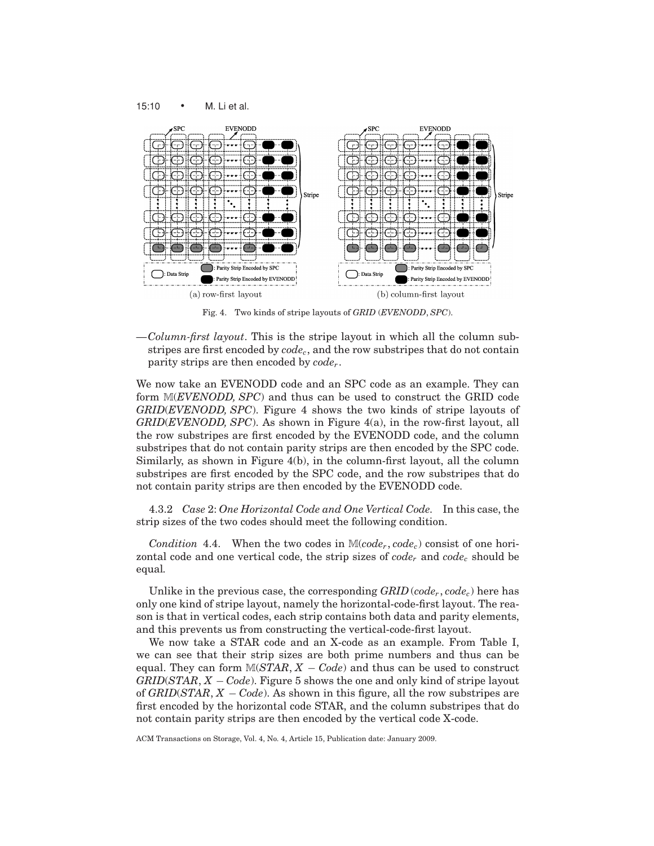15:10 • M. Li et al.



Fig. 4. Two kinds of stripe layouts of *GRID* (*EVENODD*, *SPC*).

—*Column-first layout*. This is the stripe layout in which all the column substripes are first encoded by *codec*, and the row substripes that do not contain parity strips are then encoded by *coder* .

We now take an EVENODD code and an SPC code as an example. They can form M(*EVENODD, SPC*) and thus can be used to construct the GRID code *GRID*(*EVENODD, SPC*). Figure 4 shows the two kinds of stripe layouts of *GRID*(*EVENODD, SPC*). As shown in Figure 4(a), in the row-first layout, all the row substripes are first encoded by the EVENODD code, and the column substripes that do not contain parity strips are then encoded by the SPC code. Similarly, as shown in Figure 4(b), in the column-first layout, all the column substripes are first encoded by the SPC code, and the row substripes that do not contain parity strips are then encoded by the EVENODD code.

4.3.2 *Case* 2: *One Horizontal Code and One Vertical Code.* In this case, the strip sizes of the two codes should meet the following condition.

*Condition* 4.4. When the two codes in  $\mathbb{M}(code_r,code_c)$  consist of one horizontal code and one vertical code, the strip sizes of *code<sub>r</sub>* and *code<sub>c</sub>* should be equal*.*

Unlike in the previous case, the corresponding  $GRID$  ( $code<sub>r</sub>$ ,  $code<sub>c</sub>$ ) here has only one kind of stripe layout, namely the horizontal-code-first layout. The reason is that in vertical codes, each strip contains both data and parity elements, and this prevents us from constructing the vertical-code-first layout.

We now take a STAR code and an X-code as an example. From Table I, we can see that their strip sizes are both prime numbers and thus can be equal. They can form  $M(STAR, X - Code)$  and thus can be used to construct *GRID*(*STAR*, *X* − *Code*). Figure 5 shows the one and only kind of stripe layout of *GRID*(*STAR*, *X* − *Code*). As shown in this figure, all the row substripes are first encoded by the horizontal code STAR, and the column substripes that do not contain parity strips are then encoded by the vertical code X-code.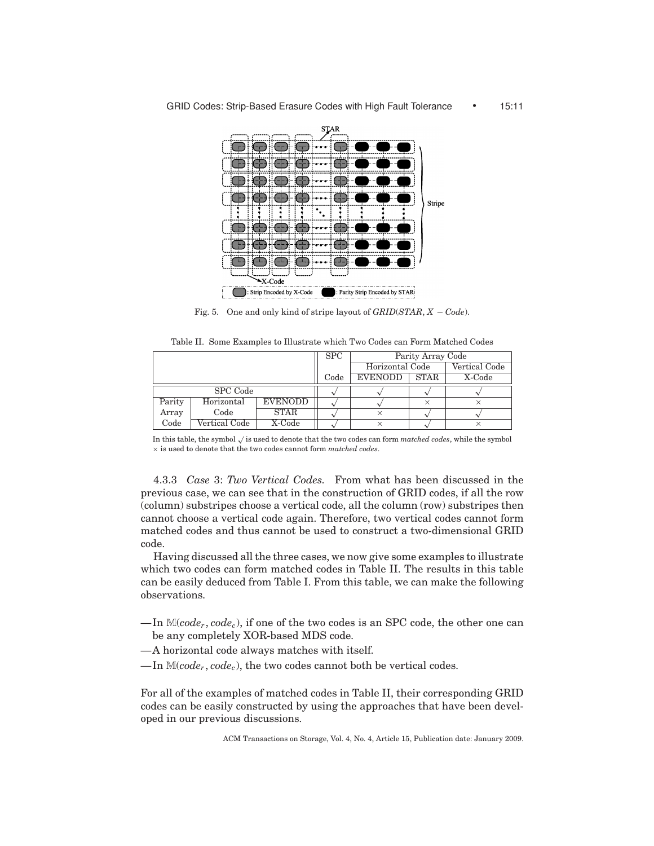

Fig. 5. One and only kind of stripe layout of *GRID*(*STAR*, *X* − *Code*).

Table II. Some Examples to Illustrate which Two Codes can Form Matched Codes

|          |               |                | <b>SPC</b> | Parity Array Code |             |               |
|----------|---------------|----------------|------------|-------------------|-------------|---------------|
|          |               |                |            | Horizontal Code   |             | Vertical Code |
|          |               |                | Code       | <b>EVENODD</b>    | <b>STAR</b> | X-Code        |
| SPC Code |               |                |            |                   |             |               |
| Parity   | Horizontal    | <b>EVENODD</b> |            |                   |             |               |
| Array    | Code          | STAR           |            |                   |             |               |
| Code     | Vertical Code | X-Code         |            |                   |             |               |

In this table, the symbol <sup>√</sup> is used to denote that the two codes can form *matched codes*, while the symbol × is used to denote that the two codes cannot form *matched codes*.

4.3.3 *Case* 3: *Two Vertical Codes.* From what has been discussed in the previous case, we can see that in the construction of GRID codes, if all the row (column) substripes choose a vertical code, all the column (row) substripes then cannot choose a vertical code again. Therefore, two vertical codes cannot form matched codes and thus cannot be used to construct a two-dimensional GRID code.

Having discussed all the three cases, we now give some examples to illustrate which two codes can form matched codes in Table II. The results in this table can be easily deduced from Table I. From this table, we can make the following observations.

- $-\text{In } \mathbb{M}(code_r,code_c)$ , if one of the two codes is an SPC code, the other one can be any completely XOR-based MDS code.
- —A horizontal code always matches with itself.
- $\Box$ In  $\mathbb{M}(code_r,code_c)$ , the two codes cannot both be vertical codes.

For all of the examples of matched codes in Table II, their corresponding GRID codes can be easily constructed by using the approaches that have been developed in our previous discussions.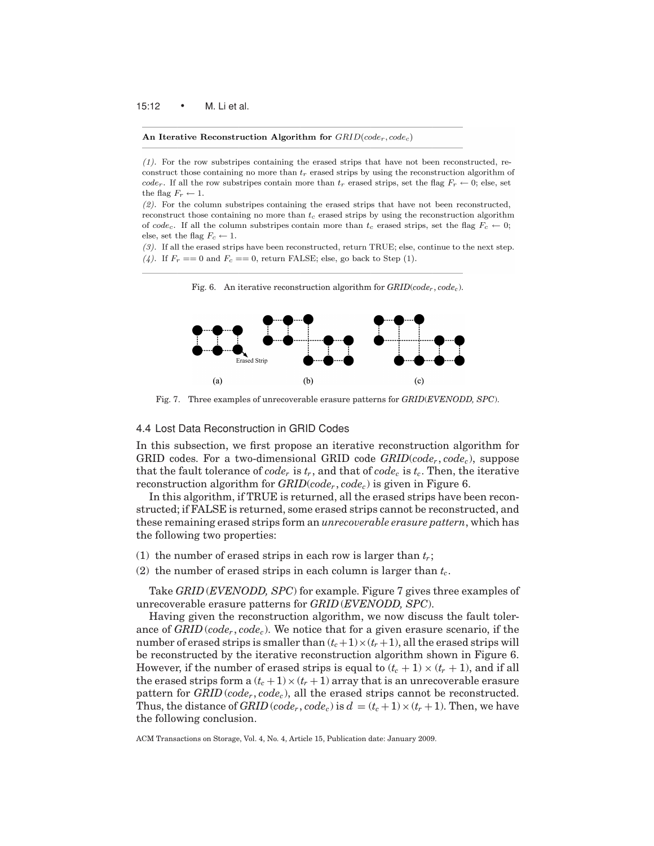#### An Iterative Reconstruction Algorithm for  $GRID(code_r, code_c)$

 $(1)$ . For the row substripes containing the erased strips that have not been reconstructed, reconstruct those containing no more than  $t_r$  erased strips by using the reconstruction algorithm of  $code_r$ . If all the row substripes contain more than  $t_r$  erased strips, set the flag  $F_r \leftarrow 0$ ; else, set the flag  $F_r \leftarrow 1$ .

 $(2)$ . For the column substripes containing the erased strips that have not been reconstructed, reconstruct those containing no more than  $t_c$  erased strips by using the reconstruction algorithm of code<sub>c</sub>. If all the column substripes contain more than  $t_c$  erased strips, set the flag  $F_c \leftarrow 0$ ; else, set the flag  $F_c \leftarrow 1$ .

 $(3)$ . If all the erased strips have been reconstructed, return TRUE; else, continue to the next step. (4). If  $F_r == 0$  and  $F_c == 0$ , return FALSE; else, go back to Step (1).



Fig. 6. An iterative reconstruction algorithm for  $GRID(code<sub>r</sub>, code<sub>c</sub>)$ .

Fig. 7. Three examples of unrecoverable erasure patterns for *GRID*(*EVENODD, SPC*).

# 4.4 Lost Data Reconstruction in GRID Codes

In this subsection, we first propose an iterative reconstruction algorithm for GRID codes. For a two-dimensional GRID code *GRID*(*coder* , *codec*), suppose that the fault tolerance of  $code_r$  is  $t_r$ , and that of  $code_c$  is  $t_c$ . Then, the iterative reconstruction algorithm for *GRID*(*coder* , *codec*) is given in Figure 6.

In this algorithm, if TRUE is returned, all the erased strips have been reconstructed; if FALSE is returned, some erased strips cannot be reconstructed, and these remaining erased strips form an *unrecoverable erasure pattern*, which has the following two properties:

- (1) the number of erased strips in each row is larger than  $t_r$ ;
- (2) the number of erased strips in each column is larger than  $t_c$ .

Take *GRID* (*EVENODD, SPC*) for example. Figure 7 gives three examples of unrecoverable erasure patterns for *GRID* (*EVENODD, SPC*).

Having given the reconstruction algorithm, we now discuss the fault tolerance of  $GRID$  ( $code_r, code_c$ ). We notice that for a given erasure scenario, if the number of erased strips is smaller than  $(t_c+1)\times(t_r+1)$ , all the erased strips will be reconstructed by the iterative reconstruction algorithm shown in Figure 6. However, if the number of erased strips is equal to  $(t_c + 1) \times (t_r + 1)$ , and if all the erased strips form a  $(t_c + 1) \times (t_r + 1)$  array that is an unrecoverable erasure pattern for *GRID* (*coder* , *codec*), all the erased strips cannot be reconstructed. Thus, the distance of *GRID* (*code<sub>r</sub>*, *code<sub>c</sub>*) is  $d = (t_c + 1) \times (t_r + 1)$ . Then, we have the following conclusion.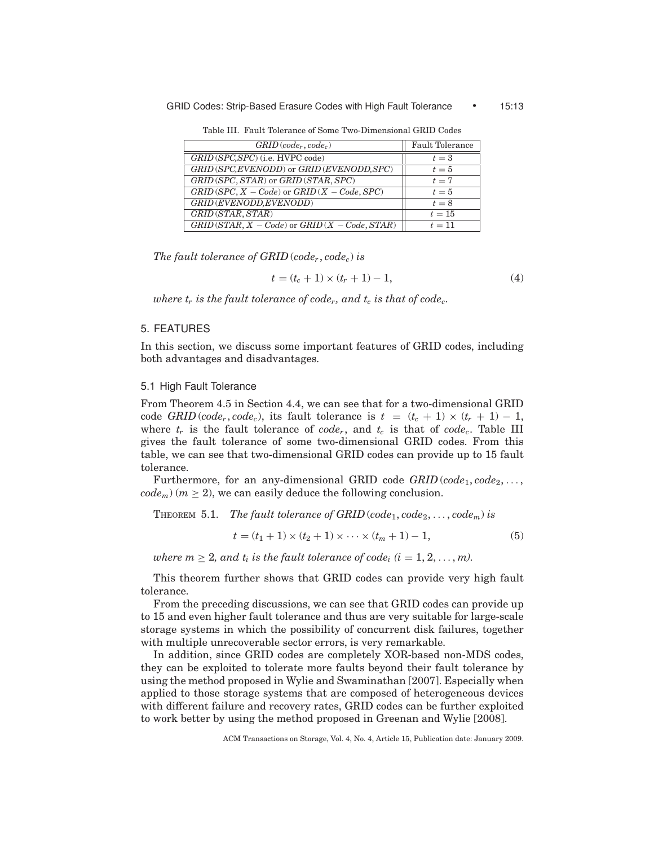#### GRID Codes: Strip-Based Erasure Codes with High Fault Tolerance • 15:13

Table III. Fault Tolerance of Some Two-Dimensional GRID Codes

| $GRID$ (code <sub>r</sub> , code <sub>c</sub> )  | <b>Fault Tolerance</b> |
|--------------------------------------------------|------------------------|
| GRID (SPC, SPC) (i.e. HVPC code)                 | $t=3$                  |
| GRID (SPC, EVENODD) or GRID (EVENODD, SPC)       | $t=5$                  |
| GRID (SPC, STAR) or GRID (STAR, SPC)             | $t=7$                  |
| $GRID(SPC, X - Code)$ or $GRID(X - Code, SPC)$   | $t=5$                  |
| GRID (EVENODD, EVENODD)                          | $t=8$                  |
| GRID (STAR, STAR)                                | $t=15$                 |
| $GRID(STAR, X - Code)$ or $GRID(X - Code, STAR)$ | $t=11$                 |

*The fault tolerance of GRID* (*coder* , *codec*) *is*

$$
t = (t_c + 1) \times (t_r + 1) - 1,\tag{4}
$$

*where*  $t_r$  *is the fault tolerance of code<sub>r</sub>, and*  $t_c$  *is that of code<sub>c</sub>.* 

# 5. FEATURES

In this section, we discuss some important features of GRID codes, including both advantages and disadvantages.

# 5.1 High Fault Tolerance

From Theorem 4.5 in Section 4.4, we can see that for a two-dimensional GRID code *GRID* (*code<sub>r</sub>*, *code<sub>c</sub>*), its fault tolerance is  $t = (t_c + 1) \times (t_r + 1) - 1$ , where  $t_r$  is the fault tolerance of  $code_r$ , and  $t_c$  is that of  $code_c$ . Table III gives the fault tolerance of some two-dimensional GRID codes. From this table, we can see that two-dimensional GRID codes can provide up to 15 fault tolerance.

Furthermore, for an any-dimensional GRID code  $GRID$  ( $code_1, code_2, \ldots,$  $code_m$ ) ( $m \geq 2$ ), we can easily deduce the following conclusion.

THEOREM 5.1. *The fault tolerance of GRID* ( $code_1, code_2, \ldots, code_m$ ) *is* 

$$
t = (t_1 + 1) \times (t_2 + 1) \times \dots \times (t_m + 1) - 1,\tag{5}
$$

*where*  $m \geq 2$ , and  $t_i$  *is the fault tolerance of code<sub>i</sub>*  $(i = 1, 2, ..., m)$ .

This theorem further shows that GRID codes can provide very high fault tolerance.

From the preceding discussions, we can see that GRID codes can provide up to 15 and even higher fault tolerance and thus are very suitable for large-scale storage systems in which the possibility of concurrent disk failures, together with multiple unrecoverable sector errors, is very remarkable.

In addition, since GRID codes are completely XOR-based non-MDS codes, they can be exploited to tolerate more faults beyond their fault tolerance by using the method proposed in Wylie and Swaminathan [2007]. Especially when applied to those storage systems that are composed of heterogeneous devices with different failure and recovery rates, GRID codes can be further exploited to work better by using the method proposed in Greenan and Wylie [2008].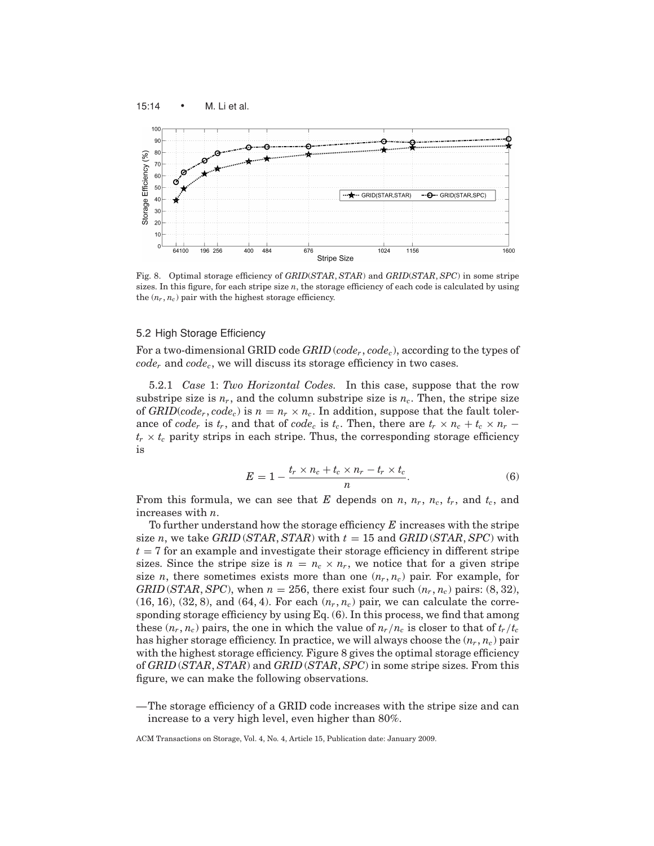

Fig. 8. Optimal storage efficiency of *GRID*(*STAR*, *STAR*) and *GRID*(*STAR*, *SPC*) in some stripe sizes. In this figure, for each stripe size *n*, the storage efficiency of each code is calculated by using the  $(n_r, n_c)$  pair with the highest storage efficiency.

# 5.2 High Storage Efficiency

For a two-dimensional GRID code *GRID* (*coder* , *codec*), according to the types of  $code_r$  and  $code_c$ , we will discuss its storage efficiency in two cases.

5.2.1 *Case* 1: *Two Horizontal Codes.* In this case, suppose that the row substripe size is  $n_r$ , and the column substripe size is  $n_c$ . Then, the stripe size of *GRID*(*code<sub>r</sub>*, *code<sub>c</sub>*) is  $n = n_r \times n_c$ . In addition, suppose that the fault tolerance of *code<sub>r</sub>* is  $t_r$ , and that of *code<sub>c</sub>* is  $t_c$ . Then, there are  $t_r \times n_c + t_c \times n_r$  $t_r \times t_c$  parity strips in each stripe. Thus, the corresponding storage efficiency is

$$
E = 1 - \frac{t_r \times n_c + t_c \times n_r - t_r \times t_c}{n}.
$$
 (6)

From this formula, we can see that *E* depends on *n*,  $n_r$ ,  $n_c$ ,  $t_r$ , and  $t_c$ , and increases with *n*.

To further understand how the storage efficiency *E* increases with the stripe size *n*, we take *GRID* (*STAR*, *STAR*) with  $t = 15$  and *GRID* (*STAR*, *SPC*) with  $t = 7$  for an example and investigate their storage efficiency in different stripe sizes. Since the stripe size is  $n = n_c \times n_r$ , we notice that for a given stripe size *n*, there sometimes exists more than one  $(n_r, n_c)$  pair. For example, for *GRID* (*STAR*, *SPC*), when  $n = 256$ , there exist four such  $(n_r, n_c)$  pairs: (8, 32),  $(16, 16)$ ,  $(32, 8)$ , and  $(64, 4)$ . For each  $(n_r, n_c)$  pair, we can calculate the corresponding storage efficiency by using Eq.  $(6)$ . In this process, we find that among these  $(n_r, n_c)$  pairs, the one in which the value of  $n_r/n_c$  is closer to that of  $t_r/t_c$ has higher storage efficiency. In practice, we will always choose the  $(n_r, n_c)$  pair with the highest storage efficiency. Figure 8 gives the optimal storage efficiency of *GRID* (*STAR*, *STAR*) and *GRID* (*STAR*, *SPC*) in some stripe sizes. From this figure, we can make the following observations.

—The storage efficiency of a GRID code increases with the stripe size and can increase to a very high level, even higher than 80%.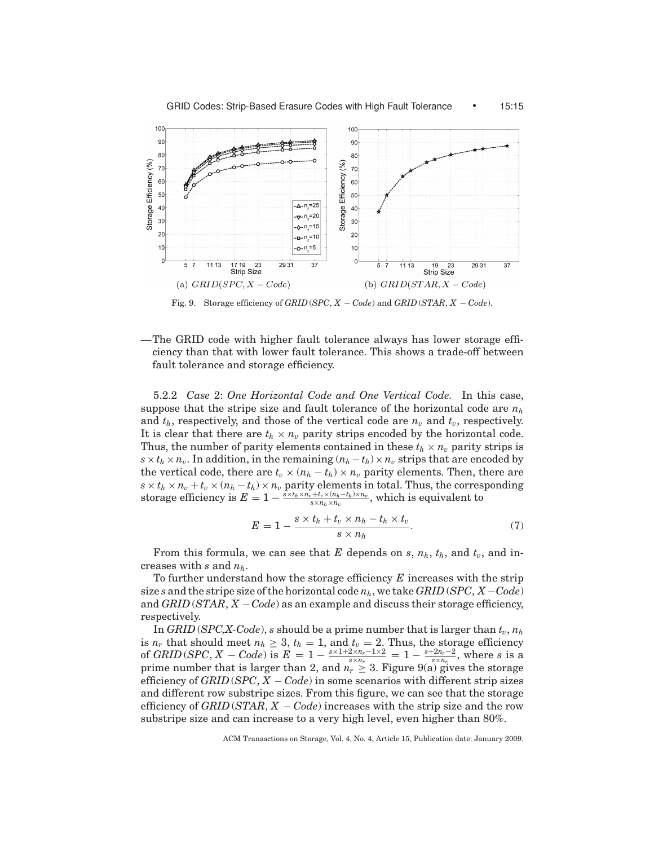

Fig. 9. Storage efficiency of *GRID* (*SPC*, *X* − *Code*) and *GRID* (*STAR*, *X* − *Code*).

—The GRID code with higher fault tolerance always has lower storage efficiency than that with lower fault tolerance. This shows a trade-off between fault tolerance and storage efficiency.

5.2.2 *Case* 2: *One Horizontal Code and One Vertical Code.* In this case, suppose that the stripe size and fault tolerance of the horizontal code are *nh* and  $t<sub>h</sub>$ , respectively, and those of the vertical code are  $n<sub>v</sub>$  and  $t<sub>v</sub>$ , respectively. It is clear that there are  $t_h \times n_v$  parity strips encoded by the horizontal code. Thus, the number of parity elements contained in these  $t_h \times n_v$  parity strips is  $s \times t_h \times n_v$ . In addition, in the remaining  $(n_h - t_h) \times n_v$  strips that are encoded by the vertical code, there are  $t_v \times (n_h - t_h) \times n_v$  parity elements. Then, there are  $s \times t_h \times n_v + t_v \times (n_h - t_h) \times n_v$  parity elements in total. Thus, the corresponding storage efficiency is  $E = 1 - \frac{\tilde{s} \times t_h \times n_v + t_v \times (n_h - t_h) \times n_v}{s \times n_h \times n_v}$ , which is equivalent to

$$
E = 1 - \frac{s \times t_h + t_v \times n_h - t_h \times t_v}{s \times n_h}.
$$
\n<sup>(7)</sup>

From this formula, we can see that *E* depends on *s*,  $n_h$ ,  $t_h$ , and  $t_v$ , and increases with *s* and *nh*.

To further understand how the storage efficiency *E* increases with the strip size *s* and the stripe size of the horizontal code  $n_h$ , we take *GRID* (*SPC*, *X* – *Code*) and *GRID* (*STAR*, *X* −*Code*) as an example and discuss their storage efficiency, respectively.

In *GRID* (*SPC,X-Code*), *s* should be a prime number that is larger than  $t_v$ ,  $n_h$ is  $n_r$  that should meet  $n_h \geq 3$ ,  $t_h = 1$ , and  $t_v = 2$ . Thus, the storage efficiency of *GRID* (*SPC*, *X* – *Code*) is  $E = 1 - \frac{s \times 1 + 2 \times n_r - 1 \times 2}{s \times n_r} = 1 - \frac{s + 2n_r - 2}{s \times n_r}$ , where *s* is a prime number that is larger than 2, and  $n_r \geq 3$ . Figure 9(a) gives the storage efficiency of *GRID* (*SPC*, *X* − *Code*) in some scenarios with different strip sizes and different row substripe sizes. From this figure, we can see that the storage efficiency of *GRID* (*STAR*, *X* − *Code*) increases with the strip size and the row substripe size and can increase to a very high level, even higher than 80%.

ACM Transactions on Storage, Vol. 4, No. 4, Article 15, Publication date: January 2009.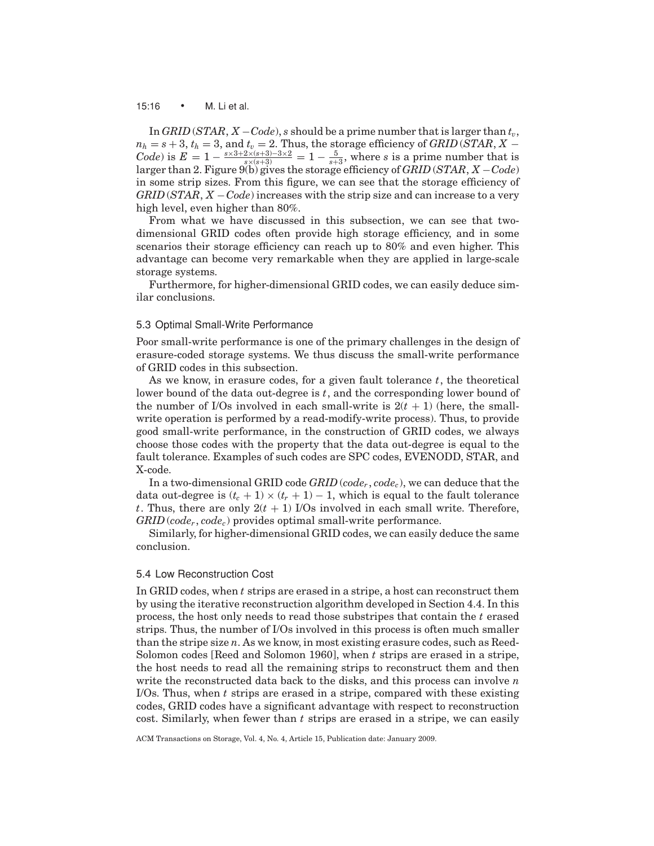#### 15:16 • M. Li et al.

In *GRID* (*STAR*,  $X - Code$ ), *s* should be a prime number that is larger than  $t_v$ ,  $n_h = s + 3$ ,  $t_h = 3$ , and  $t_v = 2$ . Thus, the storage efficiency of *GRID* (*STAR*, *X* − *Code*) is  $E = 1 - \frac{s \times 3 + 2 \times (s+3) - 3 \times 2}{s \times (s+3)} = 1 - \frac{5}{s+3}$ , where *s* is a prime number that is larger than 2. Figure 9(b) gives the storage efficiency of *GRID* (*STAR*, *X* −*Code*) in some strip sizes. From this figure, we can see that the storage efficiency of *GRID* (*STAR*, *X* −*Code*) increases with the strip size and can increase to a very high level, even higher than 80%.

From what we have discussed in this subsection, we can see that twodimensional GRID codes often provide high storage efficiency, and in some scenarios their storage efficiency can reach up to 80% and even higher. This advantage can become very remarkable when they are applied in large-scale storage systems.

Furthermore, for higher-dimensional GRID codes, we can easily deduce similar conclusions.

## 5.3 Optimal Small-Write Performance

Poor small-write performance is one of the primary challenges in the design of erasure-coded storage systems. We thus discuss the small-write performance of GRID codes in this subsection.

As we know, in erasure codes, for a given fault tolerance *t*, the theoretical lower bound of the data out-degree is *t*, and the corresponding lower bound of the number of I/Os involved in each small-write is  $2(t + 1)$  (here, the smallwrite operation is performed by a read-modify-write process). Thus, to provide good small-write performance, in the construction of GRID codes, we always choose those codes with the property that the data out-degree is equal to the fault tolerance. Examples of such codes are SPC codes, EVENODD, STAR, and X-code.

In a two-dimensional GRID code *GRID* (*code<sub>r</sub>*, *code<sub>c</sub>*), we can deduce that the data out-degree is  $(t_c + 1) \times (t_r + 1) - 1$ , which is equal to the fault tolerance *t*. Thus, there are only  $2(t + 1)$  I/Os involved in each small write. Therefore, *GRID* (*coder* , *codec*) provides optimal small-write performance.

Similarly, for higher-dimensional GRID codes, we can easily deduce the same conclusion.

# 5.4 Low Reconstruction Cost

In GRID codes, when *t* strips are erased in a stripe, a host can reconstruct them by using the iterative reconstruction algorithm developed in Section 4.4. In this process, the host only needs to read those substripes that contain the *t* erased strips. Thus, the number of I/Os involved in this process is often much smaller than the stripe size *n*. As we know, in most existing erasure codes, such as Reed-Solomon codes [Reed and Solomon 1960], when *t* strips are erased in a stripe, the host needs to read all the remaining strips to reconstruct them and then write the reconstructed data back to the disks, and this process can involve *n* I/Os. Thus, when *t* strips are erased in a stripe, compared with these existing codes, GRID codes have a significant advantage with respect to reconstruction cost. Similarly, when fewer than *t* strips are erased in a stripe, we can easily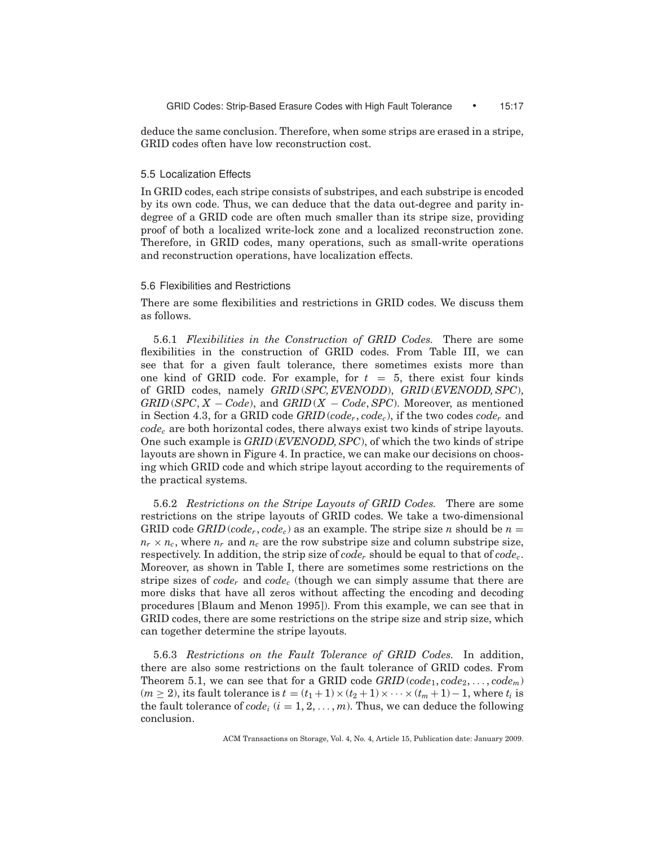deduce the same conclusion. Therefore, when some strips are erased in a stripe, GRID codes often have low reconstruction cost.

## 5.5 Localization Effects

In GRID codes, each stripe consists of substripes, and each substripe is encoded by its own code. Thus, we can deduce that the data out-degree and parity indegree of a GRID code are often much smaller than its stripe size, providing proof of both a localized write-lock zone and a localized reconstruction zone. Therefore, in GRID codes, many operations, such as small-write operations and reconstruction operations, have localization effects.

# 5.6 Flexibilities and Restrictions

There are some flexibilities and restrictions in GRID codes. We discuss them as follows.

5.6.1 *Flexibilities in the Construction of GRID Codes.* There are some flexibilities in the construction of GRID codes. From Table III, we can see that for a given fault tolerance, there sometimes exists more than one kind of GRID code. For example, for  $t = 5$ , there exist four kinds of GRID codes, namely *GRID* (*SPC, EVENODD*), *GRID* (*EVENODD, SPC*), *GRID* (*SPC*, *X* − *Code*), and *GRID* (*X* − *Code*, *SPC*). Moreover, as mentioned in Section 4.3, for a GRID code *GRID* (*coder* , *codec*), if the two codes *coder* and *codec* are both horizontal codes, there always exist two kinds of stripe layouts. One such example is *GRID* (*EVENODD, SPC*), of which the two kinds of stripe layouts are shown in Figure 4. In practice, we can make our decisions on choosing which GRID code and which stripe layout according to the requirements of the practical systems.

5.6.2 *Restrictions on the Stripe Layouts of GRID Codes.* There are some restrictions on the stripe layouts of GRID codes. We take a two-dimensional GRID code *GRID* (*code<sub>r</sub>*, *code<sub>c</sub>*) as an example. The stripe size *n* should be  $n =$  $n_r \times n_c$ , where  $n_r$  and  $n_c$  are the row substripe size and column substripe size, respectively. In addition, the strip size of *coder* should be equal to that of *codec*. Moreover, as shown in Table I, there are sometimes some restrictions on the stripe sizes of *coder* and *codec* (though we can simply assume that there are more disks that have all zeros without affecting the encoding and decoding procedures [Blaum and Menon 1995]). From this example, we can see that in GRID codes, there are some restrictions on the stripe size and strip size, which can together determine the stripe layouts.

5.6.3 *Restrictions on the Fault Tolerance of GRID Codes.* In addition, there are also some restrictions on the fault tolerance of GRID codes. From Theorem 5.1, we can see that for a GRID code  $GRID (code_1, code_2, \ldots, code_m)$  $(m \ge 2)$ , its fault tolerance is  $t = (t_1 + 1) \times (t_2 + 1) \times \cdots \times (t_m + 1) - 1$ , where  $t_i$  is the fault tolerance of  $code_i$   $(i = 1, 2, ..., m)$ . Thus, we can deduce the following conclusion.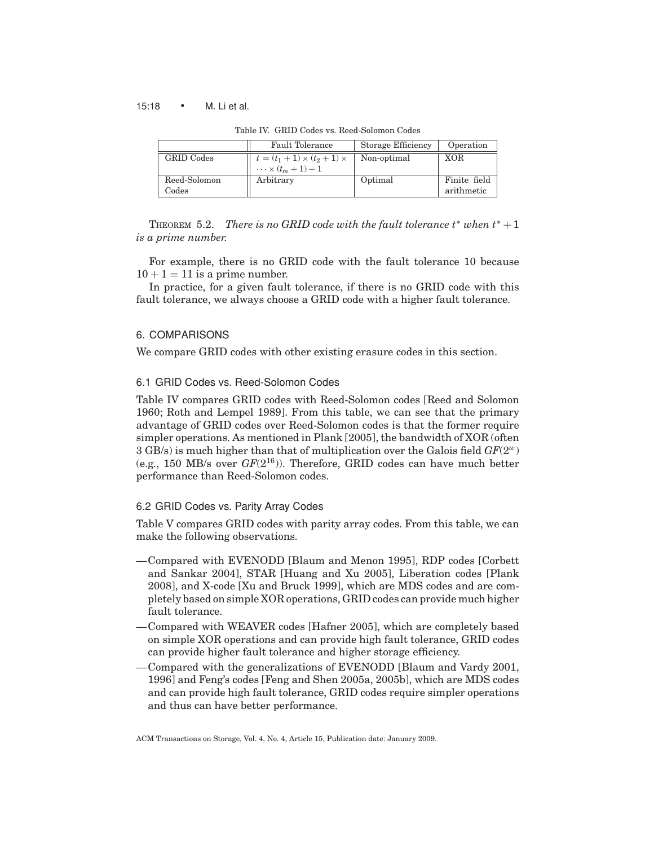## 15:18 • M. Li et al.

|  |  | Table IV. GRID Codes vs. Reed-Solomon Codes |  |
|--|--|---------------------------------------------|--|
|  |  |                                             |  |

|                       | <b>Fault Tolerance</b>                                                   | Storage Efficiency | Operation                  |
|-----------------------|--------------------------------------------------------------------------|--------------------|----------------------------|
| <b>GRID</b> Codes     | $t = (t_1 + 1) \times (t_2 + 1) \times$<br>$\cdots \times (t_m + 1) - 1$ | Non-optimal        | XOR                        |
| Reed-Solomon<br>Codes | Arbitrary                                                                | Optimal            | Finite field<br>arithmetic |

**THEOREM** 5.2. *There is no GRID code with the fault tolerance*  $t^*$  *when*  $t^* + 1$ *is a prime number.*

For example, there is no GRID code with the fault tolerance 10 because  $10 + 1 = 11$  is a prime number.

In practice, for a given fault tolerance, if there is no GRID code with this fault tolerance, we always choose a GRID code with a higher fault tolerance.

# 6. COMPARISONS

We compare GRID codes with other existing erasure codes in this section.

# 6.1 GRID Codes vs. Reed-Solomon Codes

Table IV compares GRID codes with Reed-Solomon codes [Reed and Solomon 1960; Roth and Lempel 1989]. From this table, we can see that the primary advantage of GRID codes over Reed-Solomon codes is that the former require simpler operations. As mentioned in Plank [2005], the bandwidth of XOR (often 3 GB/s) is much higher than that of multiplication over the Galois field *GF*(2*<sup>w</sup>*) (e.g., 150 MB/s over *GF*(216)). Therefore, GRID codes can have much better performance than Reed-Solomon codes.

# 6.2 GRID Codes vs. Parity Array Codes

Table V compares GRID codes with parity array codes. From this table, we can make the following observations.

- —Compared with EVENODD [Blaum and Menon 1995], RDP codes [Corbett and Sankar 2004], STAR [Huang and Xu 2005], Liberation codes [Plank 2008], and X-code [Xu and Bruck 1999], which are MDS codes and are completely based on simple XOR operations, GRID codes can provide much higher fault tolerance.
- —Compared with WEAVER codes [Hafner 2005], which are completely based on simple XOR operations and can provide high fault tolerance, GRID codes can provide higher fault tolerance and higher storage efficiency.
- —Compared with the generalizations of EVENODD [Blaum and Vardy 2001, 1996] and Feng's codes [Feng and Shen 2005a, 2005b], which are MDS codes and can provide high fault tolerance, GRID codes require simpler operations and thus can have better performance.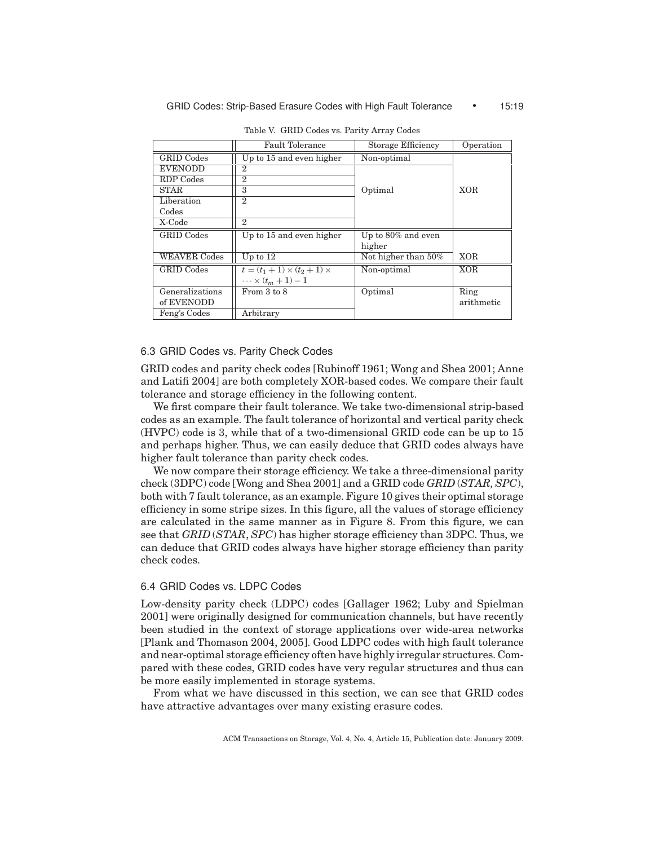|                     | Fault Tolerance                         | Storage Efficiency  | Operation  |
|---------------------|-----------------------------------------|---------------------|------------|
| <b>GRID Codes</b>   | Up to 15 and even higher                | Non-optimal         |            |
| <b>EVENODD</b>      | $\overline{2}$                          |                     |            |
| RDP Codes           | $\overline{2}$                          |                     |            |
| <b>STAR</b>         | 3                                       | Optimal             | <b>XOR</b> |
| Liberation          | $\mathcal{D}_{\mathcal{A}}$             |                     |            |
| Codes               |                                         |                     |            |
| X-Code              | $\mathbf{2}$                            |                     |            |
| <b>GRID</b> Codes   | Up to 15 and even higher                | Up to 80% and even  |            |
|                     |                                         | higher              |            |
| <b>WEAVER Codes</b> | Up to $12$                              | Not higher than 50% | <b>XOR</b> |
| <b>GRID</b> Codes   | $t = (t_1 + 1) \times (t_2 + 1) \times$ | Non-optimal         | <b>XOR</b> |
|                     | $\cdots \times (t_m + 1) - 1$           |                     |            |
| Generalizations     | From 3 to 8                             | Optimal             | Ring       |
| of EVENODD          |                                         |                     | arithmetic |
| Feng's Codes        | Arbitrary                               |                     |            |

Table V. GRID Codes vs. Parity Array Codes

# 6.3 GRID Codes vs. Parity Check Codes

GRID codes and parity check codes [Rubinoff 1961; Wong and Shea 2001; Anne and Latifi 2004] are both completely XOR-based codes. We compare their fault tolerance and storage efficiency in the following content.

We first compare their fault tolerance. We take two-dimensional strip-based codes as an example. The fault tolerance of horizontal and vertical parity check (HVPC) code is 3, while that of a two-dimensional GRID code can be up to 15 and perhaps higher. Thus, we can easily deduce that GRID codes always have higher fault tolerance than parity check codes.

We now compare their storage efficiency. We take a three-dimensional parity check (3DPC) code [Wong and Shea 2001] and a GRID code *GRID* (*STAR, SPC*), both with 7 fault tolerance, as an example. Figure 10 gives their optimal storage efficiency in some stripe sizes. In this figure, all the values of storage efficiency are calculated in the same manner as in Figure 8. From this figure, we can see that *GRID* (*STAR*, *SPC*) has higher storage efficiency than 3DPC. Thus, we can deduce that GRID codes always have higher storage efficiency than parity check codes.

# 6.4 GRID Codes vs. LDPC Codes

Low-density parity check (LDPC) codes [Gallager 1962; Luby and Spielman 2001] were originally designed for communication channels, but have recently been studied in the context of storage applications over wide-area networks [Plank and Thomason 2004, 2005]. Good LDPC codes with high fault tolerance and near-optimal storage efficiency often have highly irregular structures. Compared with these codes, GRID codes have very regular structures and thus can be more easily implemented in storage systems.

From what we have discussed in this section, we can see that GRID codes have attractive advantages over many existing erasure codes.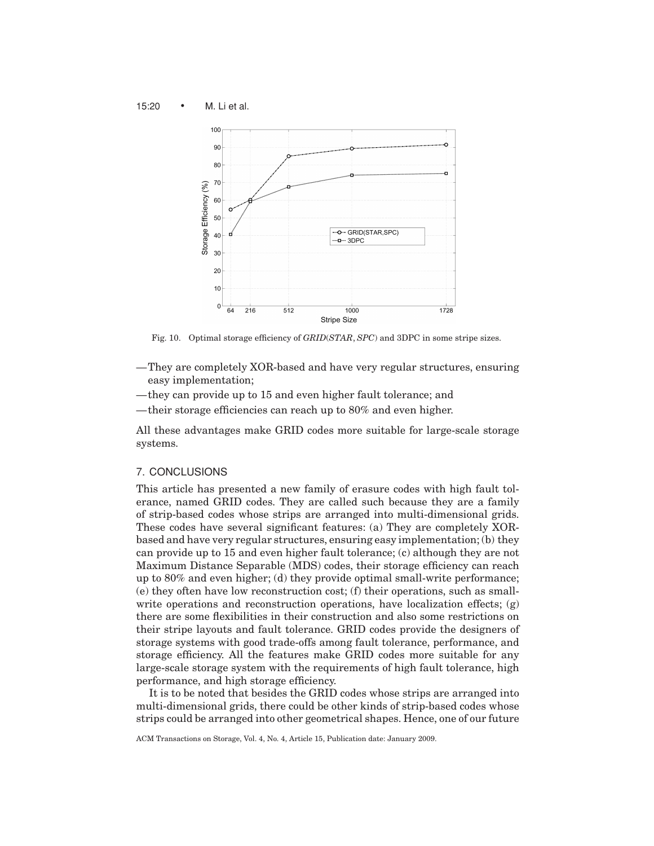15:20 • M. Li et al.



Fig. 10. Optimal storage efficiency of *GRID*(*STAR*, *SPC*) and 3DPC in some stripe sizes.

- —They are completely XOR-based and have very regular structures, ensuring easy implementation;
- —they can provide up to 15 and even higher fault tolerance; and
- —their storage efficiencies can reach up to 80% and even higher.

All these advantages make GRID codes more suitable for large-scale storage systems.

# 7. CONCLUSIONS

This article has presented a new family of erasure codes with high fault tolerance, named GRID codes. They are called such because they are a family of strip-based codes whose strips are arranged into multi-dimensional grids. These codes have several significant features: (a) They are completely XORbased and have very regular structures, ensuring easy implementation; (b) they can provide up to 15 and even higher fault tolerance; (c) although they are not Maximum Distance Separable (MDS) codes, their storage efficiency can reach up to 80% and even higher; (d) they provide optimal small-write performance; (e) they often have low reconstruction cost; (f) their operations, such as smallwrite operations and reconstruction operations, have localization effects;  $(g)$ there are some flexibilities in their construction and also some restrictions on their stripe layouts and fault tolerance. GRID codes provide the designers of storage systems with good trade-offs among fault tolerance, performance, and storage efficiency. All the features make GRID codes more suitable for any large-scale storage system with the requirements of high fault tolerance, high performance, and high storage efficiency.

It is to be noted that besides the GRID codes whose strips are arranged into multi-dimensional grids, there could be other kinds of strip-based codes whose strips could be arranged into other geometrical shapes. Hence, one of our future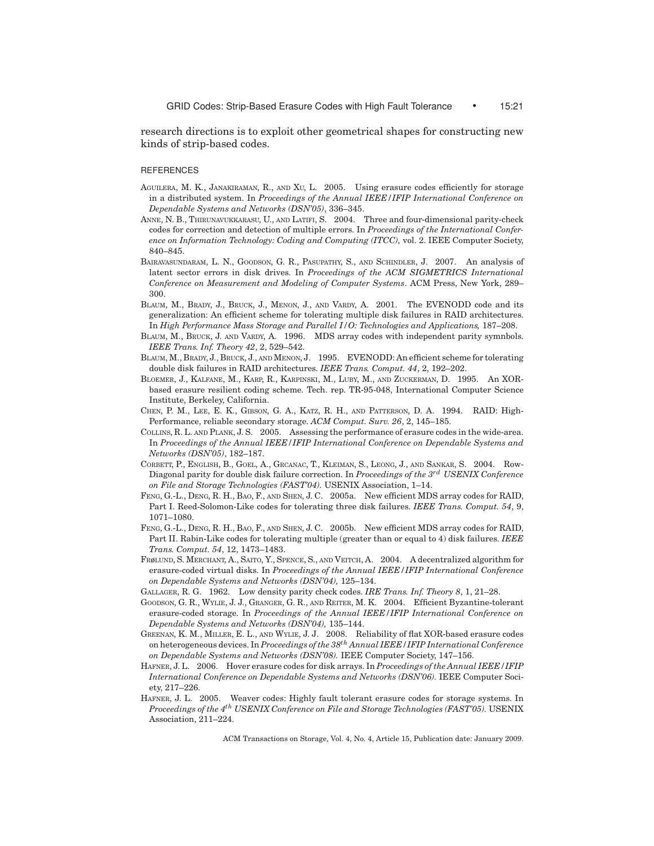research directions is to exploit other geometrical shapes for constructing new kinds of strip-based codes.

#### **REFERENCES**

- AGUILERA, M. K., JANAKIRAMAN, R., AND XU, L. 2005. Using erasure codes efficiently for storage in a distributed system. In *Proceedings of the Annual IEEE/IFIP International Conference on Dependable Systems and Networks (DSN'05)*, 336–345.
- ANNE, N. B., THIRUNAVUKKARASU, U., AND LATIFI, S. 2004. Three and four-dimensional parity-check codes for correction and detection of multiple errors. In *Proceedings of the International Conference on Information Technology: Coding and Computing (ITCC),* vol. 2. IEEE Computer Society, 840–845.
- BAIRAVASUNDARAM, L. N., GOODSON, G. R., PASUPATHY, S., AND SCHINDLER, J. 2007. An analysis of latent sector errors in disk drives. In *Proceedings of the ACM SIGMETRICS International Conference on Measurement and Modeling of Computer Systems*. ACM Press, New York, 289– 300.
- BLAUM, M., BRADY, J., BRUCK, J., MENON, J., AND VARDY, A. 2001. The EVENODD code and its generalization: An efficient scheme for tolerating multiple disk failures in RAID architectures. In *High Performance Mass Storage and Parallel I/O: Technologies and Applications,* 187–208.
- BLAUM, M., BRUCK, J. AND VARDY, A. 1996. MDS array codes with independent parity symnbols. *IEEE Trans. Inf. Theory 42*, 2, 529–542.
- BLAUM, M., BRADY, J., BRUCK, J., AND MENON, J. 1995. EVENODD: An efficient scheme for tolerating double disk failures in RAID architectures. *IEEE Trans. Comput. 44*, 2, 192–202.
- BLOEMER, J., KALFANE, M., KARP, R., KARPINSKI, M., LUBY, M., AND ZUCKERMAN, D. 1995. An XORbased erasure resilient coding scheme. Tech. rep. TR-95-048, International Computer Science Institute, Berkeley, California.
- CHEN, P. M., LEE, E. K., GIBSON, G. A., KATZ, R. H., AND PATTERSON, D. A. 1994. RAID: High-Performance, reliable secondary storage. *ACM Comput. Surv. 26*, 2, 145–185.
- COLLINS, R. L. AND PLANK, J. S. 2005. Assessing the performance of erasure codes in the wide-area. In *Proceedings of the Annual IEEE/IFIP International Conference on Dependable Systems and Networks (DSN'05)*, 182–187.
- CORBETT, P., ENGLISH, B., GOEL, A., GRCANAC, T., KLEIMAN, S., LEONG, J., AND SANKAR, S. 2004. Row-Diagonal parity for double disk failure correction. In *Proceedings of the 3rd USENIX Conference on File and Storage Technologies (FAST'04).* USENIX Association, 1–14.
- FENG, G.-L., DENG, R. H., BAO, F., AND SHEN, J. C. 2005a. New efficient MDS array codes for RAID, Part I. Reed-Solomon-Like codes for tolerating three disk failures. *IEEE Trans. Comput. 54*, 9, 1071–1080.
- FENG, G.-L., DENG, R. H., BAO, F., AND SHEN, J. C. 2005b. New efficient MDS array codes for RAID, Part II. Rabin-Like codes for tolerating multiple (greater than or equal to 4) disk failures. *IEEE Trans. Comput. 54*, 12, 1473–1483.
- FRøLUND, S. MERCHANT, A., SAITO, Y., SPENCE, S., AND VEITCH, A. 2004. A decentralized algorithm for erasure-coded virtual disks. In *Proceedings of the Annual IEEE/IFIP International Conference on Dependable Systems and Networks (DSN'04),* 125–134.
- GALLAGER, R. G. 1962. Low density parity check codes. *IRE Trans. Inf. Theory 8*, 1, 21–28.
- GOODSON, G. R., WYLIE, J. J., GRANGER, G. R., AND REITER, M. K. 2004. Efficient Byzantine-tolerant erasure-coded storage. In *Proceedings of the Annual IEEE/IFIP International Conference on Dependable Systems and Networks (DSN'04),* 135–144.
- GREENAN, K. M., MILLER, E. L., AND WYLIE, J. J. 2008. Reliability of flat XOR-based erasure codes on heterogeneous devices. In *Proceedings of the 38th Annual IEEE/IFIP International Conference on Dependable Systems and Networks (DSN'08).* IEEE Computer Society, 147–156.
- HAFNER, J. L. 2006. Hover erasure codes for disk arrays. In *Proceedings of the Annual IEEE/IFIP International Conference on Dependable Systems and Networks (DSN'06).* IEEE Computer Society, 217–226.
- HAFNER, J. L. 2005. Weaver codes: Highly fault tolerant erasure codes for storage systems. In *Proceedings of the 4th USENIX Conference on File and Storage Technologies (FAST'05).* USENIX Association, 211–224.